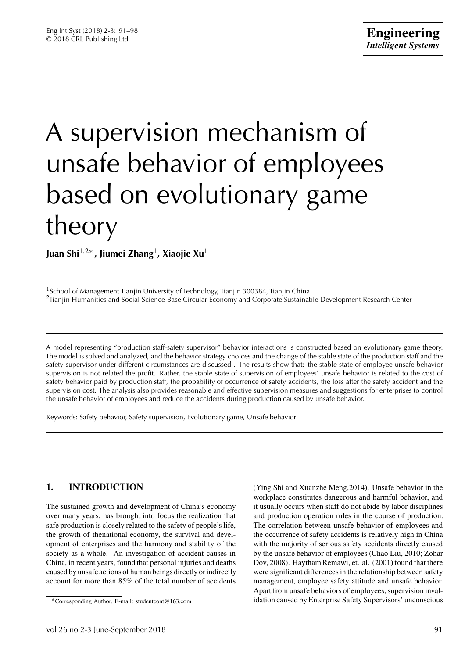# A supervision mechanism of unsafe behavior of employees based on evolutionary game theory

**Juan Shi**1*,*2<sup>∗</sup> **, Jiumei Zhang**1**, Xiaojie Xu**<sup>1</sup>

<sup>1</sup>School of Management Tianjin University of Technology, Tianjin 300384, Tianjin China <sup>2</sup>Tianjin Humanities and Social Science Base Circular Economy and Corporate Sustainable Development Research Center

A model representing "production staff-safety supervisor" behavior interactions is constructed based on evolutionary game theory. The model is solved and analyzed, and the behavior strategy choices and the change of the stable state of the production staff and the safety supervisor under different circumstances are discussed . The results show that: the stable state of employee unsafe behavior supervision is not related the profit. Rather, the stable state of supervision of employees' unsafe behavior is related to the cost of safety behavior paid by production staff, the probability of occurrence of safety accidents, the loss after the safety accident and the supervision cost. The analysis also provides reasonable and effective supervision measures and suggestions for enterprises to control the unsafe behavior of employees and reduce the accidents during production caused by unsafe behavior.

Keywords: Safety behavior, Safety supervision, Evolutionary game, Unsafe behavior

# **1. INTRODUCTION**

The sustained growth and development of China's economy over many years, has brought into focus the realization that safe production is closely related to the safety of people's life, the growth of thenational economy, the survival and development of enterprises and the harmony and stability of the society as a whole. An investigation of accident causes in China, in recent years, found that personal injuries and deaths caused by unsafe actions of human beings directly orindirectly account for more than 85% of the total number of accidents (Ying Shi and Xuanzhe Meng,2014). Unsafe behavior in the workplace constitutes dangerous and harmful behavior, and it usually occurs when staff do not abide by labor disciplines and production operation rules in the course of production. The correlation between unsafe behavior of employees and the occurrence of safety accidents is relatively high in China with the majority of serious safety accidents directly caused by the unsafe behavior of employees (Chao Liu, 2010; Zohar Dov, 2008). Haytham Remawi, et. al. (2001) found that there were significant differences in the relationship between safety management, employee safety attitude and unsafe behavior. Apart from unsafe behaviors of employees, supervision invalidation caused by Enterprise Safety Supervisors' unconscious

<sup>∗</sup>Corresponding Author. E-mail: studentcont@163.com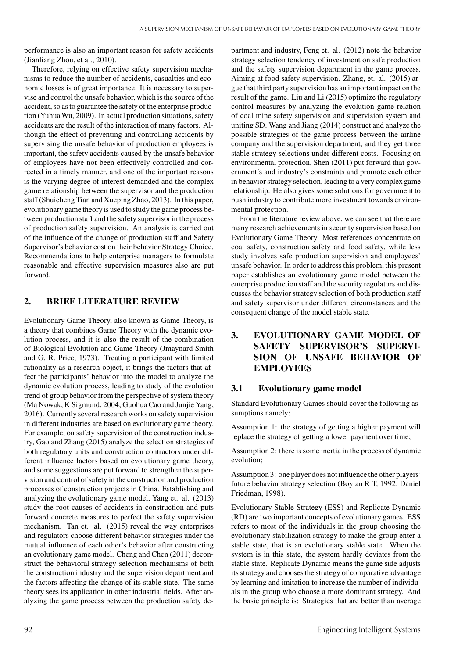performance is also an important reason for safety accidents (Jianliang Zhou, et al., 2010).

Therefore, relying on effective safety supervision mechanisms to reduce the number of accidents, casualties and economic losses is of great importance. It is necessary to supervise and control the unsafe behavior, which is the source of the accident, so as to guarantee the safety of the enterprise production (YuhuaWu, 2009). In actual production situations, safety accidents are the result of the interaction of many factors. Although the effect of preventing and controlling accidents by supervising the unsafe behavior of production employees is important, the safety accidents caused by the unsafe behavior of employees have not been effectively controlled and corrected in a timely manner, and one of the important reasons is the varying degree of interest demanded and the complex game relationship between the supervisor and the production staff (Shuicheng Tian and Xueping Zhao, 2013). In this paper, evolutionary game theory is used to study the game process between production staff and the safety supervisor in the process of production safety supervision. An analysis is carried out of the influence of the change of production staff and Safety Supervisor's behavior cost on their behavior Strategy Choice. Recommendations to help enterprise managers to formulate reasonable and effective supervision measures also are put forward.

### **2. BRIEF LITERATURE REVIEW**

Evolutionary Game Theory, also known as Game Theory, is a theory that combines Game Theory with the dynamic evolution process, and it is also the result of the combination of Biological Evolution and Game Theory (Jmaynard Smith and G. R. Price, 1973). Treating a participant with limited rationality as a research object, it brings the factors that affect the participants' behavior into the model to analyze the dynamic evolution process, leading to study of the evolution trend of group behavior from the perspective of system theory (Ma Nowak, K Sigmund, 2004; Guohua Cao and Junjie Yang, 2016). Currently several research works on safety supervision in different industries are based on evolutionary game theory. For example, on safety supervision of the construction industry, Gao and Zhang (2015) analyze the selection strategies of both regulatory units and construction contractors under different influence factors based on evolutionary game theory, and some suggestions are put forward to strengthen the supervision and control of safety in the construction and production processes of construction projects in China. Establishing and analyzing the evolutionary game model, Yang et. al. (2013) study the root causes of accidents in construction and puts forward concrete measures to perfect the safety supervision mechanism. Tan et. al. (2015) reveal the way enterprises and regulators choose different behavior strategies under the mutual influence of each other's behavior after constructing an evolutionary game model. Cheng and Chen (2011) deconstruct the behavioral strategy selection mechanisms of both the construction industry and the supervision department and the factors affecting the change of its stable state. The same theory sees its application in other industrial fields. After analyzing the game process between the production safety department and industry, Feng et. al. (2012) note the behavior strategy selection tendency of investment on safe production and the safety supervision department in the game process. Aiming at food safety supervision. Zhang, et. al. (2015) argue that third party supervision has an important impact on the result of the game. Liu and Li (2015) optimize the regulatory control measures by analyzing the evolution game relation of coal mine safety supervision and supervision system and uniting SD. Wang and Jiang (2014) construct and analyze the possible strategies of the game process between the airline company and the supervision department, and they get three stable strategy selections under different costs. Focusing on environmental protection, Shen (2011) put forward that government's and industry's constraints and promote each other in behavior strategy selection, leading to a very complex game relationship. He also gives some solutions for government to push industry to contribute more investment towards environmental protection.

From the literature review above, we can see that there are many research achievements in security supervision based on Evolutionary Game Theory. Most references concentrate on coal safety, construction safety and food safety, while less study involves safe production supervision and employees' unsafe behavior. In order to address this problem, this present paper establishes an evolutionary game model between the enterprise production staff and the security regulators and discusses the behavior strategy selection of both production staff and safety supervisor under different circumstances and the consequent change of the model stable state.

## **3. EVOLUTIONARY GAME MODEL OF SAFETY SUPERVISOR'S SUPERVI-SION OF UNSAFE BEHAVIOR OF EMPLOYEES**

## **3.1 Evolutionary game model**

Standard Evolutionary Games should cover the following assumptions namely:

Assumption 1: the strategy of getting a higher payment will replace the strategy of getting a lower payment over time;

Assumption 2: there is some inertia in the process of dynamic evolution;

Assumption 3: one player does not influence the other players' future behavior strategy selection (Boylan R T, 1992; Daniel Friedman, 1998).

Evolutionary Stable Strategy (ESS) and Replicate Dynamic (RD) are two important concepts of evolutionary games. ESS refers to most of the individuals in the group choosing the evolutionary stabilization strategy to make the group enter a stable state, that is an evolutionary stable state. When the system is in this state, the system hardly deviates from the stable state. Replicate Dynamic means the game side adjusts its strategy and chooses the strategy of comparative advantage by learning and imitation to increase the number of individuals in the group who choose a more dominant strategy. And the basic principle is: Strategies that are better than average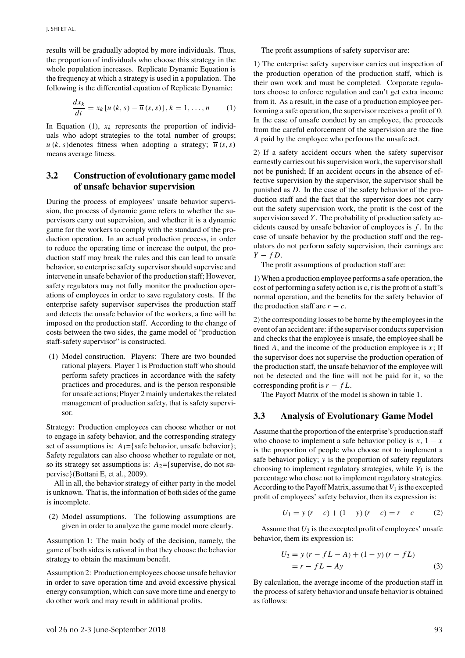results will be gradually adopted by more individuals. Thus, the proportion of individuals who choose this strategy in the whole population increases. Replicate Dynamic Equation is the frequency at which a strategy is used in a population. The following is the differential equation of Replicate Dynamic:

$$
\frac{dx_k}{dt} = x_k \left[ u \left( k, s \right) - \overline{u} \left( s, s \right) \right], k = 1, \dots, n \tag{1}
$$

In Equation (1),  $x_k$  represents the proportion of individuals who adopt strategies to the total number of groups;  $u(k, s)$  denotes fitness when adopting a strategy;  $\overline{u}(s, s)$ means average fitness.

### **3.2 Construction of evolutionary game model of unsafe behavior supervision**

During the process of employees' unsafe behavior supervision, the process of dynamic game refers to whether the supervisors carry out supervision, and whether it is a dynamic game for the workers to comply with the standard of the production operation. In an actual production process, in order to reduce the operating time or increase the output, the production staff may break the rules and this can lead to unsafe behavior, so enterprise safety supervisor should supervise and intervene in unsafe behavior of the production staff; However, safety regulators may not fully monitor the production operations of employees in order to save regulatory costs. If the enterprise safety supervisor supervises the production staff and detects the unsafe behavior of the workers, a fine will be imposed on the production staff. According to the change of costs between the two sides, the game model of "production staff-safety supervisor" is constructed.

(1) Model construction. Players: There are two bounded rational players. Player 1 is Production staff who should perform safety practices in accordance with the safety practices and procedures, and is the person responsible for unsafe actions; Player 2 mainly undertakes the related management of production safety, that is safety supervisor.

Strategy: Production employees can choose whether or not to engage in safety behavior, and the corresponding strategy set of assumptions is:  $A_1 = \{ \text{safe behavior} \}$ ; Safety regulators can also choose whether to regulate or not, so its strategy set assumptions is:  $A_2$ ={supervise, do not supervise}(Bottani E, et al., 2009).

All in all, the behavior strategy of either party in the model is unknown. That is, the information of both sides of the game is incomplete.

(2) Model assumptions. The following assumptions are given in order to analyze the game model more clearly.

Assumption 1: The main body of the decision, namely, the game of both sides is rational in that they choose the behavior strategy to obtain the maximum benefit.

Assumption 2: Production employees choose unsafe behavior in order to save operation time and avoid excessive physical energy consumption, which can save more time and energy to do other work and may result in additional profits.

The profit assumptions of safety supervisor are:

1) The enterprise safety supervisor carries out inspection of the production operation of the production staff, which is their own work and must be completed. Corporate regulators choose to enforce regulation and can't get extra income from it. As a result, in the case of a production employee performing a safe operation, the supervisor receives a profit of 0. In the case of unsafe conduct by an employee, the proceeds from the careful enforcement of the supervision are the fine *A* paid by the employee who performs the unsafe act.

2) If a safety accident occurs when the safety supervisor earnestly carries out his supervision work, the supervisor shall not be punished; If an accident occurs in the absence of effective supervision by the supervisor, the supervisor shall be punished as *D*. In the case of the safety behavior of the production staff and the fact that the supervisor does not carry out the safety supervision work, the profit is the cost of the supervision saved *Y* . The probability of production safety accidents caused by unsafe behavior of employees is *f* . In the case of unsafe behavior by the production staff and the regulators do not perform safety supervision, their earnings are *Y* − *f D*.

The profit assumptions of production staff are:

1) When a production employee performs a safe operation, the cost of performing a safety action is c, r is the profit of a staff's normal operation, and the benefits for the safety behavior of the production staff are  $r - c$ .

2) the corresponding losses to be borne by the employees in the event of an accident are: if the supervisor conducts supervision and checks that the employee is unsafe, the employee shall be fined *A*, and the income of the production employee is *x*; If the supervisor does not supervise the production operation of the production staff, the unsafe behavior of the employee will not be detected and the fine will not be paid for it, so the corresponding profit is  $r - fL$ .

The Payoff Matrix of the model is shown in table 1.

## **3.3 Analysis of Evolutionary Game Model**

Assume that the proportion of the enterprise's production staff who choose to implement a safe behavior policy is  $x$ ,  $1 - x$ is the proportion of people who choose not to implement a safe behavior policy; *y* is the proportion of safety regulators choosing to implement regulatory strategies, while  $V_1$  is the percentage who chose not to implement regulatory strategies. According to the Payoff Matrix, assume that  $V_1$  is the excepted profit of employees' safety behavior, then its expression is:

$$
U_1 = y (r - c) + (1 - y) (r - c) = r - c \tag{2}
$$

Assume that  $U_2$  is the excepted profit of employees' unsafe behavior, them its expression is:

$$
U_2 = y (r - fL - A) + (1 - y) (r - fL)
$$
  
= r - fL - Ay (3)

By calculation, the average income of the production staff in the process of safety behavior and unsafe behavior is obtained as follows: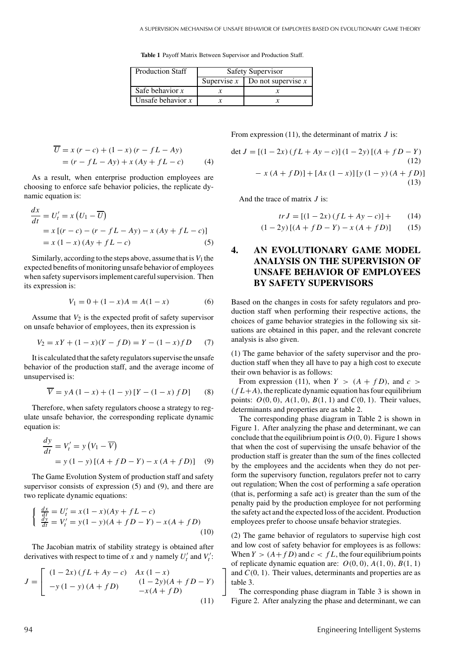**Table 1** Payoff Matrix Between Supervisor and Production Staff.

| <b>Production Staff</b> | <b>Safety Supervisor</b> |                      |  |  |  |
|-------------------------|--------------------------|----------------------|--|--|--|
|                         | Supervise $x$            | Do not supervise $x$ |  |  |  |
| Safe behavior $x$       |                          |                      |  |  |  |
| Unsafe behavior $x$     |                          |                      |  |  |  |

⎤  $\overline{\phantom{a}}$ 

$$
\overline{U} = x (r - c) + (1 - x) (r - fL - Ay)
$$
  
= (r - fL - Ay) + x (Ay + fL - c) (4)

As a result, when enterprise production employees are choosing to enforce safe behavior policies, the replicate dynamic equation is:

*dx*

$$
\frac{dx}{dt} = U'_t = x (U_1 - \overline{U})
$$
  
=  $x [(r - c) - (r - fL - Ay) - x (Ay + fL - c)]$   
=  $x (1 - x) (Ay + fL - c)$  (5)

Similarly, according to the steps above, assume that is  $V_1$  the expected benefits of monitoring unsafe behavior of employees when safety supervisors implement careful supervision. Then its expression is:

$$
V_1 = 0 + (1 - x)A = A(1 - x)
$$
 (6)

Assume that  $V_2$  is the expected profit of safety supervisor on unsafe behavior of employees, then its expression is

$$
V_2 = xY + (1 - x)(Y - fD) = Y - (1 - x)fD \tag{7}
$$

It is calculated that the safety regulators supervise the unsafe behavior of the production staff, and the average income of unsupervised is:

$$
\overline{V} = yA(1-x) + (1-y)[Y - (1-x) f D] \tag{8}
$$

Therefore, when safety regulators choose a strategy to regulate unsafe behavior, the corresponding replicate dynamic equation is:

$$
\frac{dy}{dt} = V'_t = y (V_1 - \overline{V})
$$
  
= y (1 - y) [(A + fD – Y) – x (A + fD)] (9)

The Game Evolution System of production staff and safety supervisor consists of expression  $(5)$  and  $(9)$ , and there are two replicate dynamic equations:

$$
\begin{cases} \frac{dx}{dt} = U'_t = x(1-x)(Ay + fL - c) \\ \frac{dy}{dt} = V'_t = y(1-y)(A + fD - Y) - x(A + fD) \end{cases}
$$
\n(10)

The Jacobian matrix of stability strategy is obtained after derivatives with respect to time of *x* and *y* namely  $U'_t$  and  $V'_t$ :

$$
J = \begin{bmatrix} (1 - 2x) (fL + Ay - c) & Ax (1 - x) \\ -y (1 - y) (A + fD) & (1 - 2y) (A + fD - Y) \\ -x (A + fD) & (11) \end{bmatrix}
$$

From expression (11), the determinant of matrix *J* is:

$$
\det J = [(1 - 2x) (fL + Ay - c)] (1 - 2y) [(A + fD - Y) \tag{12}
$$
  

$$
- x (A + fD)] + [Ax (1 - x)] [y (1 - y) (A + fD)] \tag{13}
$$

And the trace of matrix *J* is:

$$
tr J = [(1 - 2x) (fL + Ay - c)] + (14)
$$

$$
(1-2y)\left[ (A+fD-Y) - x (A+fD) \right] \tag{15}
$$

### **4. AN EVOLUTIONARY GAME MODEL ANALYSIS ON THE SUPERVISION OF UNSAFE BEHAVIOR OF EMPLOYEES BY SAFETY SUPERVISORS**

Based on the changes in costs for safety regulators and production staff when performing their respective actions, the choices of game behavior strategies in the following six situations are obtained in this paper, and the relevant concrete analysis is also given.

(1) The game behavior of the safety supervisor and the production staff when they all have to pay a high cost to execute their own behavior is as follows:

From expression (11), when  $Y > (A + fD)$ , and  $c >$  $(fL+A)$ , the replicate dynamic equation has four equilibrium points:  $O(0, 0)$ ,  $A(1, 0)$ ,  $B(1, 1)$  and  $C(0, 1)$ . Their values, determinants and properties are as table 2.

The corresponding phase diagram in Table 2 is shown in Figure 1. After analyzing the phase and determinant, we can conclude that the equilibrium point is  $O(0, 0)$ . Figure 1 shows that when the cost of supervising the unsafe behavior of the production staff is greater than the sum of the fines collected by the employees and the accidents when they do not perform the supervisory function, regulators prefer not to carry out regulation; When the cost of performing a safe operation (that is, performing a safe act) is greater than the sum of the penalty paid by the production employee for not performing the safety act and the expected loss of the accident. Production employees prefer to choose unsafe behavior strategies.

(2) The game behavior of regulators to supervise high cost and low cost of safety behavior for employees is as follows: When  $Y > (A + fD)$  and  $c < fL$ , the four equilibrium points of replicate dynamic equation are:  $O(0, 0)$ ,  $A(1, 0)$ ,  $B(1, 1)$ and *C(*0*,* 1*)*. Their values, determinants and properties are as table 3.

The corresponding phase diagram in Table 3 is shown in Figure 2. After analyzing the phase and determinant, we can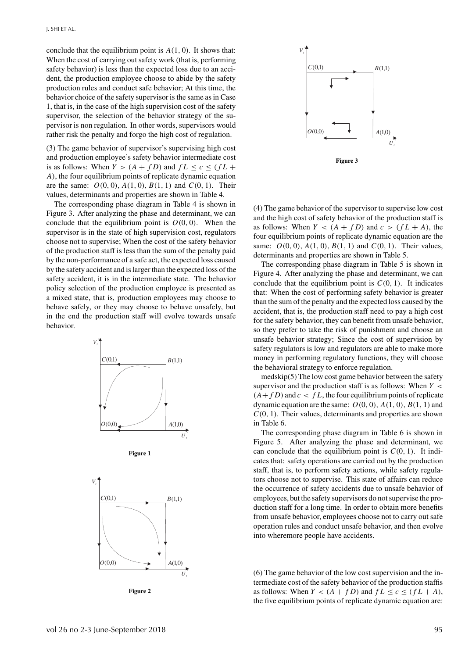conclude that the equilibrium point is *A(*1*,* 0*)*. It shows that: When the cost of carrying out safety work (that is, performing safety behavior) is less than the expected loss due to an accident, the production employee choose to abide by the safety production rules and conduct safe behavior; At this time, the behavior choice of the safety supervisor is the same as in Case 1, that is, in the case of the high supervision cost of the safety supervisor, the selection of the behavior strategy of the supervisor is non regulation. In other words, supervisors would rather risk the penalty and forgo the high cost of regulation.

(3) The game behavior of supervisor's supervising high cost and production employee's safety behavior intermediate cost is as follows: When  $Y > (A + fD)$  and  $fL \le c \le (fL + fD)$ *A)*, the four equilibrium points of replicate dynamic equation are the same:  $O(0, 0)$ ,  $A(1, 0)$ ,  $B(1, 1)$  and  $C(0, 1)$ . Their values, determinants and properties are shown in Table 4.

The corresponding phase diagram in Table 4 is shown in Figure 3. After analyzing the phase and determinant, we can conclude that the equilibrium point is  $O(0, 0)$ . When the supervisor is in the state of high supervision cost, regulators choose not to supervise; When the cost of the safety behavior of the production staff is less than the sum of the penalty paid by the non-performance of a safe act, the expected loss caused by the safety accident and is larger than the expected loss of the safety accident, it is in the intermediate state. The behavior policy selection of the production employee is presented as a mixed state, that is, production employees may choose to behave safely, or they may choose to behave unsafely, but in the end the production staff will evolve towards unsafe behavior.













(4) The game behavior of the supervisor to supervise low cost and the high cost of safety behavior of the production staff is as follows: When  $Y < (A + fD)$  and  $c > (fL + A)$ , the four equilibrium points of replicate dynamic equation are the same:  $O(0, 0)$ ,  $A(1, 0)$ ,  $B(1, 1)$  and  $C(0, 1)$ . Their values, determinants and properties are shown in Table 5.

The corresponding phase diagram in Table 5 is shown in Figure 4. After analyzing the phase and determinant, we can conclude that the equilibrium point is  $C(0, 1)$ . It indicates that: When the cost of performing safety behavior is greater than the sum of the penalty and the expected loss caused by the accident, that is, the production staff need to pay a high cost for the safety behavior, they can benefit from unsafe behavior, so they prefer to take the risk of punishment and choose an unsafe behavior strategy; Since the cost of supervision by safety regulators is low and regulators are able to make more money in performing regulatory functions, they will choose the behavioral strategy to enforce regulation.

medskip(5) The low cost game behavior between the safety supervisor and the production staff is as follows: When *Y <*  $(A + f D)$  and  $c < f L$ , the four equilibrium points of replicate dynamic equation are the same: *O(*0*,* 0*), A(*1*,* 0*), B(*1*,* 1*)* and *C(*0*,* 1*)*. Their values, determinants and properties are shown in Table 6.

The corresponding phase diagram in Table 6 is shown in Figure 5. After analyzing the phase and determinant, we can conclude that the equilibrium point is  $C(0, 1)$ . It indicates that: safety operations are carried out by the production staff, that is, to perform safety actions, while safety regulators choose not to supervise. This state of affairs can reduce the occurrence of safety accidents due to unsafe behavior of employees, but the safety supervisors do not supervise the production staff for a long time. In order to obtain more benefits from unsafe behavior, employees choose not to carry out safe operation rules and conduct unsafe behavior, and then evolve into wheremore people have accidents.

(6) The game behavior of the low cost supervision and the intermediate cost of the safety behavior of the production staffis as follows: When  $Y < (A + fD)$  and  $fL \le c \le (fL + A)$ , the five equilibrium points of replicate dynamic equation are: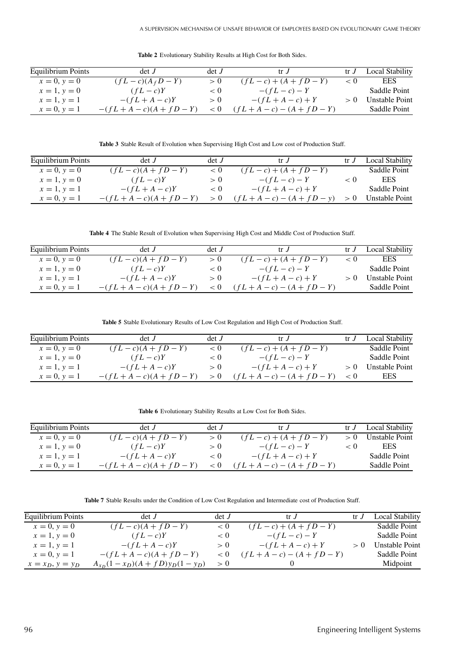**Table 2** Evolutionary Stability Results at High Cost for Both Sides.

| Equilibrium Points | det J               | det J | trJ                       | tr J | Local Stability |
|--------------------|---------------------|-------|---------------------------|------|-----------------|
| $x = 0, y = 0$     | $(fL-c)(A_fD-Y)$    | > 0   | $(fL - c) + (A + fD - Y)$ | < 0  | <b>EES</b>      |
| $x = 1, y = 0$     | $(fL - c)Y$         | < 0   | $-(fL-c)-Y$               |      | Saddle Point    |
| $x = 1, y = 1$     | $-(fL+A-c)Y$        | > 0   | $-(fL+A-c)+Y$             |      | Unstable Point  |
| $x = 0, y = 1$     | $-(fL+A-c)(A+fD-Y)$ |       | $(fL+A-c) - (A+fD-Y)$     |      | Saddle Point    |

**Table 3** Stable Result of Evolution when Supervising High Cost and Low cost of Production Staff.

| Equilibrium Points | $\det J$               | det J | tr J                      | Local Stability |
|--------------------|------------------------|-------|---------------------------|-----------------|
| $x = 0, y = 0$     | $(fL - c)(A + fD - Y)$ | < 0   | $(fL - c) + (A + fD - Y)$ | Saddle Point    |
| $x = 1, y = 0$     | $(fL - c)Y$            | > 0   | $-(fL-c)-Y$               | EES.            |
| $x = 1, y = 1$     | $-(fL+A-c)Y$           | < 0   | $-(fL+A-c)+Y$             | Saddle Point    |
| $x = 0, y = 1$     | $-(fL+A-c)(A+fD-Y)$    |       | $(fL+A-c) - (A+fD-v)$     | Unstable Point  |

**Table 4** The Stable Result of Evolution when Supervising High Cost and Middle Cost of Production Staff.

| Equilibrium Points | det J                  | det J | tr $J$                    | tr J | Local Stability |
|--------------------|------------------------|-------|---------------------------|------|-----------------|
| $x = 0, y = 0$     | $(fL - c)(A + fD - Y)$ | > 0   | $(fL - c) + (A + fD - Y)$ | < 0  | <b>EES</b>      |
| $x = 1, y = 0$     | $(fL - c)Y$            | < 0   | $-(fL-c)-Y$               |      | Saddle Point    |
| $x = 1, y = 1$     | $-(fL+A-c)Y$           | > 0   | $-(fL+A-c)+Y$             |      | Unstable Point  |
| $x = 0, y = 1$     | $-(fL+A-c)(A+fD-Y)$    |       | $(fL+A-c) - (A+fD-Y)$     |      | Saddle Point    |

**Table 5** Stable Evolutionary Results of Low Cost Regulation and High Cost of Production Staff.

| Equilibrium Points | det J                  | det J | tr J                      | tr J | Local Stability |
|--------------------|------------------------|-------|---------------------------|------|-----------------|
| $x = 0, y = 0$     | $(fL - c)(A + fD - Y)$ | < 0   | $(fL - c) + (A + fD - Y)$ |      | Saddle Point    |
| $x = 1, y = 0$     | $(fL - c)Y$            | < 0   | $-(fL-c)-Y$               |      | Saddle Point    |
| $x = 1, y = 1$     | $-(fL+A-c)Y$           | > 0   | $-(fL+A-c)+Y$             |      | Unstable Point  |
| $x = 0, y = 1$     | $-(fL+A-c)(A+FD-Y)$    |       | $(fL+A-c) - (A+fD-Y)$     |      | <b>EES</b>      |

**Table 6** Evolutionary Stability Results at Low Cost for Both Sides.

| Equilibrium Points | $\det J$               | det J | tr J                      | $tr$ $\overline{J}$ | Local Stability |
|--------------------|------------------------|-------|---------------------------|---------------------|-----------------|
| $x = 0, y = 0$     | $(fL - c)(A + fD - Y)$ | > 0   | $(fL - c) + (A + fD - Y)$ |                     | Unstable Point  |
| $x = 1, y = 0$     | $(fL-c)Y$              | > 0   | $-(fL-c)-Y$               | < 0                 | EES.            |
| $x = 1, y = 1$     | $-(fL+A-c)Y$           | < 0   | $-(fL+A-c)+Y$             |                     | Saddle Point    |
| $x = 0, y = 1$     | $-(fL+A-c)(A+fD-Y)$    |       | $(fL+A-c) - (A+fD-Y)$     |                     | Saddle Point    |

**Table 7** Stable Results under the Condition of Low Cost Regulation and Intermediate cost of Production Staff.

| <b>Equilibrium Points</b> | det J                            | det J | tr J                      | tr J | <b>Local Stability</b> |
|---------------------------|----------------------------------|-------|---------------------------|------|------------------------|
| $x = 0, y = 0$            | $(fL - c)(A + fD - Y)$           | < 0   | $(fL - c) + (A + fD - Y)$ |      | Saddle Point           |
| $x = 1, y = 0$            | $(fL-c)Y$                        | < 0   | $-(fL-c)-Y$               |      | Saddle Point           |
| $x = 1, y = 1$            | $-(fL+A-c)Y$                     | > 0   | $-(fL+A-c)+Y$             |      | Unstable Point         |
| $x = 0, y = 1$            | $-(fL+A-c)(A+fD-Y)$              | < 0   | $(fL+A-c) - (A+fD-Y)$     |      | Saddle Point           |
| $x = x_D, y = y_D$        | $A_{x_D}(1-x_D)(A+fD)y_D(1-y_D)$ | > 0   |                           |      | Midpoint               |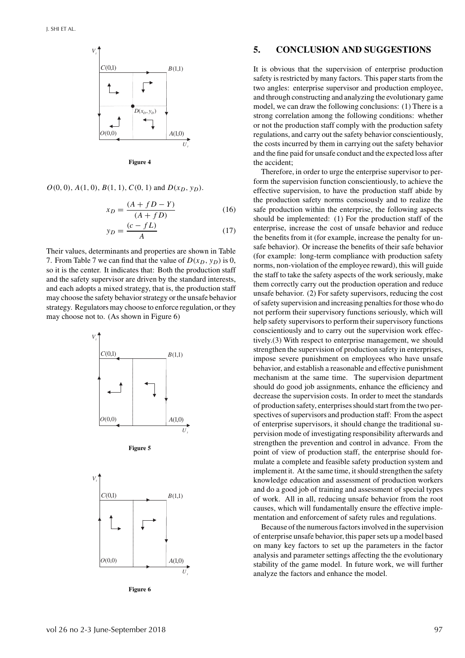

**Figure 4**

 $O(0, 0), A(1, 0), B(1, 1), C(0, 1)$  and  $D(x_D, y_D)$ .

$$
x_D = \frac{(A + fD - Y)}{(A + fD)}\tag{16}
$$

$$
y_D = \frac{(c - fL)}{A} \tag{17}
$$

Their values, determinants and properties are shown in Table 7. From Table 7 we can find that the value of  $D(x_D, y_D)$  is 0, so it is the center. It indicates that: Both the production staff and the safety supervisor are driven by the standard interests, and each adopts a mixed strategy, that is, the production staff may choose the safety behavior strategy or the unsafe behavior strategy. Regulators may choose to enforce regulation, or they may choose not to. (As shown in Figure 6)



**Figure 5**



**Figure 6**

#### **5. CONCLUSION AND SUGGESTIONS**

It is obvious that the supervision of enterprise production safety is restricted by many factors. This paper starts from the two angles: enterprise supervisor and production employee, and through constructing and analyzing the evolutionary game model, we can draw the following conclusions: (1) There is a strong correlation among the following conditions: whether or not the production staff comply with the production safety regulations, and carry out the safety behavior conscientiously, the costs incurred by them in carrying out the safety behavior and the fine paid for unsafe conduct and the expected loss after the accident;

Therefore, in order to urge the enterprise supervisor to perform the supervision function conscientiously, to achieve the effective supervision, to have the production staff abide by the production safety norms consciously and to realize the safe production within the enterprise, the following aspects should be implemented: (1) For the production staff of the enterprise, increase the cost of unsafe behavior and reduce the benefits from it (for example, increase the penalty for unsafe behavior). Or increase the benefits of their safe behavior (for example: long-term compliance with production safety norms, non-violation of the employee reward), this will guide the staff to take the safety aspects of the work seriously, make them correctly carry out the production operation and reduce unsafe behavior. (2) For safety supervisors, reducing the cost of safety supervision and increasing penalties for those who do not perform their supervisory functions seriously, which will help safety supervisors to perform their supervisory functions conscientiously and to carry out the supervision work effectively.(3) With respect to enterprise management, we should strengthen the supervision of production safety in enterprises, impose severe punishment on employees who have unsafe behavior, and establish a reasonable and effective punishment mechanism at the same time. The supervision department should do good job assignments, enhance the efficiency and decrease the supervision costs. In order to meet the standards of production safety, enterprises should start from the two perspectives of supervisors and production staff: From the aspect of enterprise supervisors, it should change the traditional supervision mode of investigating responsibility afterwards and strengthen the prevention and control in advance. From the point of view of production staff, the enterprise should formulate a complete and feasible safety production system and implement it. At the same time, it should strengthen the safety knowledge education and assessment of production workers and do a good job of training and assessment of special types of work. All in all, reducing unsafe behavior from the root causes, which will fundamentally ensure the effective implementation and enforcement of safety rules and regulations.

Because of the numerous factors involved in the supervision of enterprise unsafe behavior, this paper sets up a model based on many key factors to set up the parameters in the factor analysis and parameter settings affecting the the evolutionary stability of the game model. In future work, we will further analyze the factors and enhance the model.